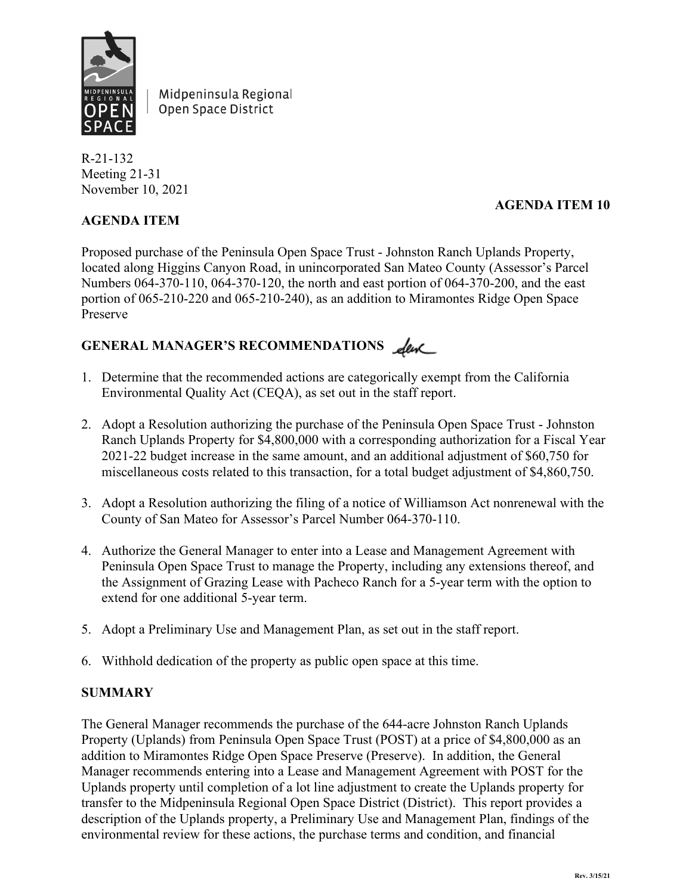

Midpeninsula Regional Open Space District

R-21-132 Meeting 21-31 November 10, 2021

# **AGENDA ITEM 10**

# **AGENDA ITEM**

Proposed purchase of the Peninsula Open Space Trust - Johnston Ranch Uplands Property, located along Higgins Canyon Road, in unincorporated San Mateo County (Assessor's Parcel Numbers 064-370-110, 064-370-120, the north and east portion of 064-370-200, and the east portion of 065-210-220 and 065-210-240), as an addition to Miramontes Ridge Open Space Preserve

# GENERAL MANAGER'S RECOMMENDATIONS <u>de</u>

- 1. Determine that the recommended actions are categorically exempt from the California Environmental Quality Act (CEQA), as set out in the staff report.
- 2. Adopt a Resolution authorizing the purchase of the Peninsula Open Space Trust Johnston Ranch Uplands Property for \$4,800,000 with a corresponding authorization for a Fiscal Year 2021-22 budget increase in the same amount, and an additional adjustment of \$60,750 for miscellaneous costs related to this transaction, for a total budget adjustment of \$4,860,750.
- 3. Adopt a Resolution authorizing the filing of a notice of Williamson Act nonrenewal with the County of San Mateo for Assessor's Parcel Number 064-370-110.
- 4. Authorize the General Manager to enter into a Lease and Management Agreement with Peninsula Open Space Trust to manage the Property, including any extensions thereof, and the Assignment of Grazing Lease with Pacheco Ranch for a 5-year term with the option to extend for one additional 5-year term.
- 5. Adopt a Preliminary Use and Management Plan, as set out in the staff report.
- 6. Withhold dedication of the property as public open space at this time.

### **SUMMARY**

The General Manager recommends the purchase of the 644-acre Johnston Ranch Uplands Property (Uplands) from Peninsula Open Space Trust (POST) at a price of \$4,800,000 as an addition to Miramontes Ridge Open Space Preserve (Preserve). In addition, the General Manager recommends entering into a Lease and Management Agreement with POST for the Uplands property until completion of a lot line adjustment to create the Uplands property for transfer to the Midpeninsula Regional Open Space District (District). This report provides a description of the Uplands property, a Preliminary Use and Management Plan, findings of the environmental review for these actions, the purchase terms and condition, and financial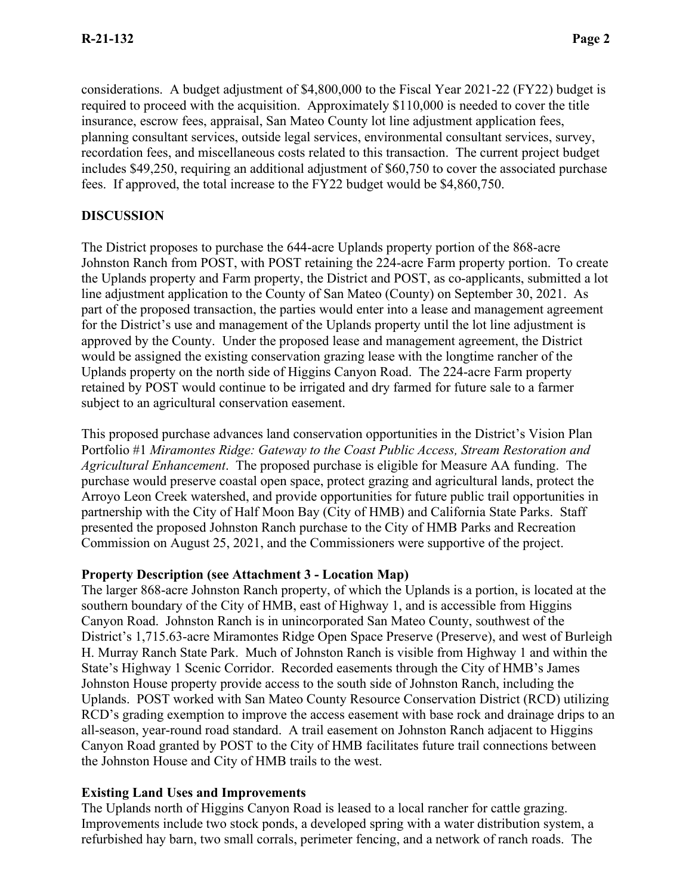considerations. A budget adjustment of \$4,800,000 to the Fiscal Year 2021-22 (FY22) budget is required to proceed with the acquisition. Approximately \$110,000 is needed to cover the title insurance, escrow fees, appraisal, San Mateo County lot line adjustment application fees, planning consultant services, outside legal services, environmental consultant services, survey, recordation fees, and miscellaneous costs related to this transaction. The current project budget includes \$49,250, requiring an additional adjustment of \$60,750 to cover the associated purchase fees. If approved, the total increase to the FY22 budget would be \$4,860,750.

#### **DISCUSSION**

The District proposes to purchase the 644-acre Uplands property portion of the 868-acre Johnston Ranch from POST, with POST retaining the 224-acre Farm property portion. To create the Uplands property and Farm property, the District and POST, as co-applicants, submitted a lot line adjustment application to the County of San Mateo (County) on September 30, 2021. As part of the proposed transaction, the parties would enter into a lease and management agreement for the District's use and management of the Uplands property until the lot line adjustment is approved by the County. Under the proposed lease and management agreement, the District would be assigned the existing conservation grazing lease with the longtime rancher of the Uplands property on the north side of Higgins Canyon Road. The 224-acre Farm property retained by POST would continue to be irrigated and dry farmed for future sale to a farmer subject to an agricultural conservation easement.

This proposed purchase advances land conservation opportunities in the District's Vision Plan Portfolio #1 *Miramontes Ridge: Gateway to the Coast Public Access, Stream Restoration and Agricultural Enhancement*. The proposed purchase is eligible for Measure AA funding. The purchase would preserve coastal open space, protect grazing and agricultural lands, protect the Arroyo Leon Creek watershed, and provide opportunities for future public trail opportunities in partnership with the City of Half Moon Bay (City of HMB) and California State Parks. Staff presented the proposed Johnston Ranch purchase to the City of HMB Parks and Recreation Commission on August 25, 2021, and the Commissioners were supportive of the project.

#### **Property Description (see Attachment 3 - Location Map)**

The larger 868-acre Johnston Ranch property, of which the Uplands is a portion, is located at the southern boundary of the City of HMB, east of Highway 1, and is accessible from Higgins Canyon Road. Johnston Ranch is in unincorporated San Mateo County, southwest of the District's 1,715.63-acre Miramontes Ridge Open Space Preserve (Preserve), and west of Burleigh H. Murray Ranch State Park. Much of Johnston Ranch is visible from Highway 1 and within the State's Highway 1 Scenic Corridor. Recorded easements through the City of HMB's James Johnston House property provide access to the south side of Johnston Ranch, including the Uplands. POST worked with San Mateo County Resource Conservation District (RCD) utilizing RCD's grading exemption to improve the access easement with base rock and drainage drips to an all-season, year-round road standard. A trail easement on Johnston Ranch adjacent to Higgins Canyon Road granted by POST to the City of HMB facilitates future trail connections between the Johnston House and City of HMB trails to the west.

#### **Existing Land Uses and Improvements**

The Uplands north of Higgins Canyon Road is leased to a local rancher for cattle grazing. Improvements include two stock ponds, a developed spring with a water distribution system, a refurbished hay barn, two small corrals, perimeter fencing, and a network of ranch roads. The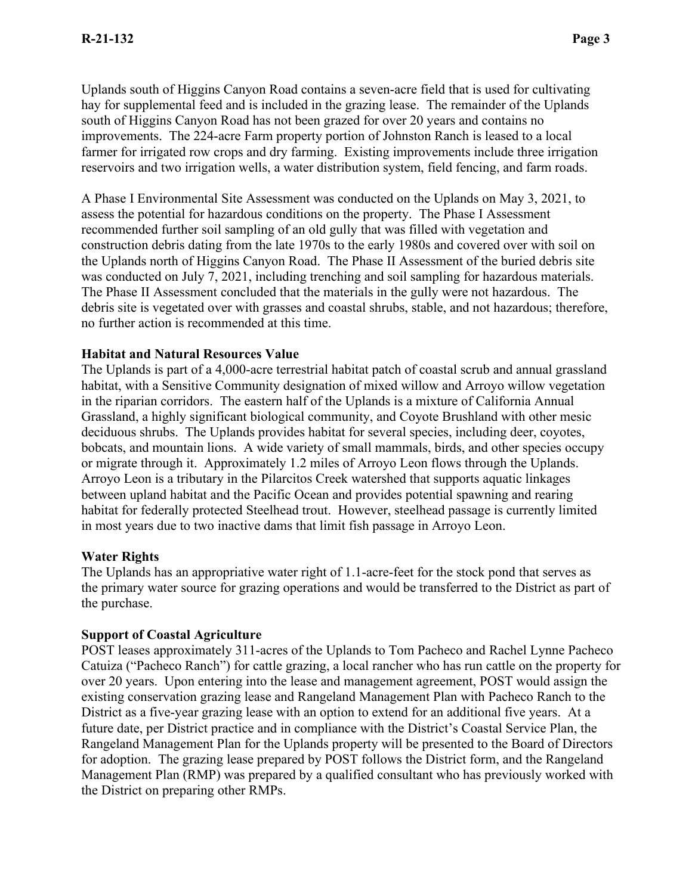Uplands south of Higgins Canyon Road contains a seven-acre field that is used for cultivating hay for supplemental feed and is included in the grazing lease. The remainder of the Uplands south of Higgins Canyon Road has not been grazed for over 20 years and contains no improvements. The 224-acre Farm property portion of Johnston Ranch is leased to a local farmer for irrigated row crops and dry farming. Existing improvements include three irrigation reservoirs and two irrigation wells, a water distribution system, field fencing, and farm roads.

A Phase I Environmental Site Assessment was conducted on the Uplands on May 3, 2021, to assess the potential for hazardous conditions on the property. The Phase I Assessment recommended further soil sampling of an old gully that was filled with vegetation and construction debris dating from the late 1970s to the early 1980s and covered over with soil on the Uplands north of Higgins Canyon Road. The Phase II Assessment of the buried debris site was conducted on July 7, 2021, including trenching and soil sampling for hazardous materials. The Phase II Assessment concluded that the materials in the gully were not hazardous. The debris site is vegetated over with grasses and coastal shrubs, stable, and not hazardous; therefore, no further action is recommended at this time.

#### **Habitat and Natural Resources Value**

The Uplands is part of a 4,000-acre terrestrial habitat patch of coastal scrub and annual grassland habitat, with a Sensitive Community designation of mixed willow and Arroyo willow vegetation in the riparian corridors. The eastern half of the Uplands is a mixture of California Annual Grassland, a highly significant biological community, and Coyote Brushland with other mesic deciduous shrubs. The Uplands provides habitat for several species, including deer, coyotes, bobcats, and mountain lions. A wide variety of small mammals, birds, and other species occupy or migrate through it. Approximately 1.2 miles of Arroyo Leon flows through the Uplands. Arroyo Leon is a tributary in the Pilarcitos Creek watershed that supports aquatic linkages between upland habitat and the Pacific Ocean and provides potential spawning and rearing habitat for federally protected Steelhead trout. However, steelhead passage is currently limited in most years due to two inactive dams that limit fish passage in Arroyo Leon.

#### **Water Rights**

The Uplands has an appropriative water right of 1.1-acre-feet for the stock pond that serves as the primary water source for grazing operations and would be transferred to the District as part of the purchase.

#### **Support of Coastal Agriculture**

POST leases approximately 311-acres of the Uplands to Tom Pacheco and Rachel Lynne Pacheco Catuiza ("Pacheco Ranch") for cattle grazing, a local rancher who has run cattle on the property for over 20 years. Upon entering into the lease and management agreement, POST would assign the existing conservation grazing lease and Rangeland Management Plan with Pacheco Ranch to the District as a five-year grazing lease with an option to extend for an additional five years. At a future date, per District practice and in compliance with the District's Coastal Service Plan, the Rangeland Management Plan for the Uplands property will be presented to the Board of Directors for adoption. The grazing lease prepared by POST follows the District form, and the Rangeland Management Plan (RMP) was prepared by a qualified consultant who has previously worked with the District on preparing other RMPs.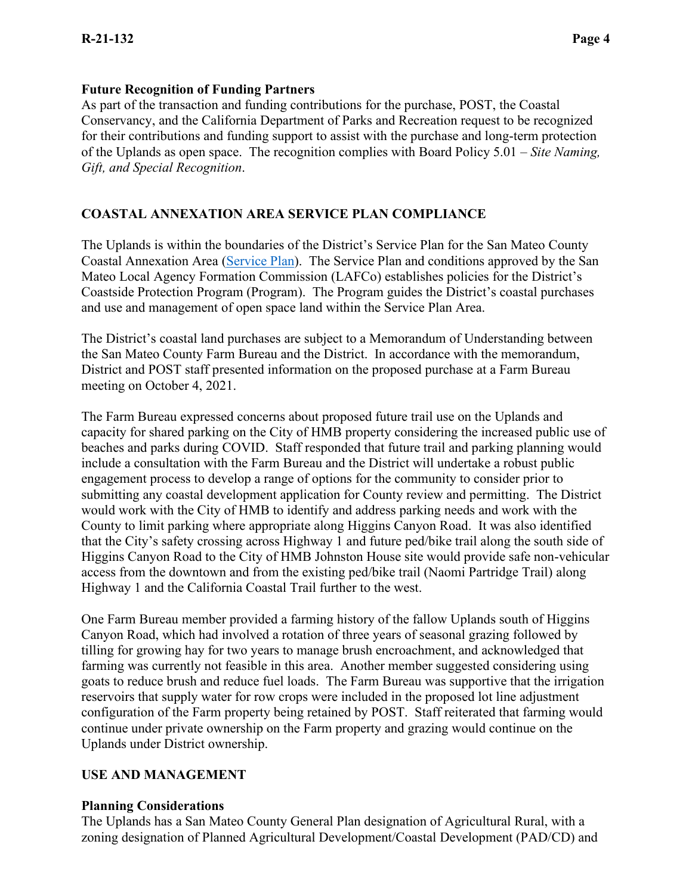#### **Future Recognition of Funding Partners**

As part of the transaction and funding contributions for the purchase, POST, the Coastal Conservancy, and the California Department of Parks and Recreation request to be recognized for their contributions and funding support to assist with the purchase and long-term protection of the Uplands as open space. The recognition complies with Board Policy 5.01 – *Site Naming, Gift, and Special Recognition*.

### **COASTAL ANNEXATION AREA SERVICE PLAN COMPLIANCE**

The Uplands is within the boundaries of the District's Service Plan for the San Mateo County Coastal Annexation Area [\(Service Plan\)](https://www.openspace.org/sites/default/files/Coastal_Service_Plan.pdf). The Service Plan and conditions approved by the San Mateo Local Agency Formation Commission (LAFCo) establishes policies for the District's Coastside Protection Program (Program). The Program guides the District's coastal purchases and use and management of open space land within the Service Plan Area.

The District's coastal land purchases are subject to a Memorandum of Understanding between the San Mateo County Farm Bureau and the District. In accordance with the memorandum, District and POST staff presented information on the proposed purchase at a Farm Bureau meeting on October 4, 2021.

The Farm Bureau expressed concerns about proposed future trail use on the Uplands and capacity for shared parking on the City of HMB property considering the increased public use of beaches and parks during COVID. Staff responded that future trail and parking planning would include a consultation with the Farm Bureau and the District will undertake a robust public engagement process to develop a range of options for the community to consider prior to submitting any coastal development application for County review and permitting. The District would work with the City of HMB to identify and address parking needs and work with the County to limit parking where appropriate along Higgins Canyon Road. It was also identified that the City's safety crossing across Highway 1 and future ped/bike trail along the south side of Higgins Canyon Road to the City of HMB Johnston House site would provide safe non-vehicular access from the downtown and from the existing ped/bike trail (Naomi Partridge Trail) along Highway 1 and the California Coastal Trail further to the west.

One Farm Bureau member provided a farming history of the fallow Uplands south of Higgins Canyon Road, which had involved a rotation of three years of seasonal grazing followed by tilling for growing hay for two years to manage brush encroachment, and acknowledged that farming was currently not feasible in this area. Another member suggested considering using goats to reduce brush and reduce fuel loads. The Farm Bureau was supportive that the irrigation reservoirs that supply water for row crops were included in the proposed lot line adjustment configuration of the Farm property being retained by POST. Staff reiterated that farming would continue under private ownership on the Farm property and grazing would continue on the Uplands under District ownership.

### **USE AND MANAGEMENT**

#### **Planning Considerations**

The Uplands has a San Mateo County General Plan designation of Agricultural Rural, with a zoning designation of Planned Agricultural Development/Coastal Development (PAD/CD) and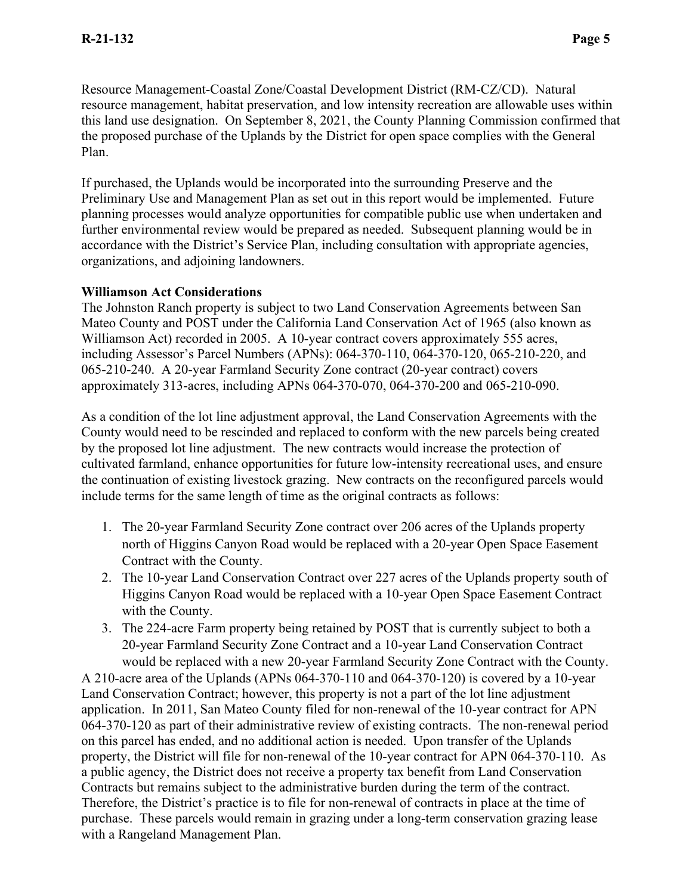Resource Management-Coastal Zone/Coastal Development District (RM-CZ/CD). Natural resource management, habitat preservation, and low intensity recreation are allowable uses within this land use designation. On September 8, 2021, the County Planning Commission confirmed that the proposed purchase of the Uplands by the District for open space complies with the General Plan.

If purchased, the Uplands would be incorporated into the surrounding Preserve and the Preliminary Use and Management Plan as set out in this report would be implemented. Future planning processes would analyze opportunities for compatible public use when undertaken and further environmental review would be prepared as needed. Subsequent planning would be in accordance with the District's Service Plan, including consultation with appropriate agencies, organizations, and adjoining landowners.

#### **Williamson Act Considerations**

The Johnston Ranch property is subject to two Land Conservation Agreements between San Mateo County and POST under the California Land Conservation Act of 1965 (also known as Williamson Act) recorded in 2005. A 10-year contract covers approximately 555 acres, including Assessor's Parcel Numbers (APNs): 064-370-110, 064-370-120, 065-210-220, and 065-210-240. A 20-year Farmland Security Zone contract (20-year contract) covers approximately 313-acres, including APNs 064-370-070, 064-370-200 and 065-210-090.

As a condition of the lot line adjustment approval, the Land Conservation Agreements with the County would need to be rescinded and replaced to conform with the new parcels being created by the proposed lot line adjustment. The new contracts would increase the protection of cultivated farmland, enhance opportunities for future low-intensity recreational uses, and ensure the continuation of existing livestock grazing. New contracts on the reconfigured parcels would include terms for the same length of time as the original contracts as follows:

- 1. The 20-year Farmland Security Zone contract over 206 acres of the Uplands property north of Higgins Canyon Road would be replaced with a 20-year Open Space Easement Contract with the County.
- 2. The 10-year Land Conservation Contract over 227 acres of the Uplands property south of Higgins Canyon Road would be replaced with a 10-year Open Space Easement Contract with the County.
- 3. The 224-acre Farm property being retained by POST that is currently subject to both a 20-year Farmland Security Zone Contract and a 10-year Land Conservation Contract would be replaced with a new 20-year Farmland Security Zone Contract with the County.

A 210-acre area of the Uplands (APNs 064-370-110 and 064-370-120) is covered by a 10-year Land Conservation Contract; however, this property is not a part of the lot line adjustment application. In 2011, San Mateo County filed for non-renewal of the 10-year contract for APN 064-370-120 as part of their administrative review of existing contracts. The non-renewal period on this parcel has ended, and no additional action is needed. Upon transfer of the Uplands property, the District will file for non-renewal of the 10-year contract for APN 064-370-110. As a public agency, the District does not receive a property tax benefit from Land Conservation Contracts but remains subject to the administrative burden during the term of the contract. Therefore, the District's practice is to file for non-renewal of contracts in place at the time of purchase. These parcels would remain in grazing under a long-term conservation grazing lease with a Rangeland Management Plan.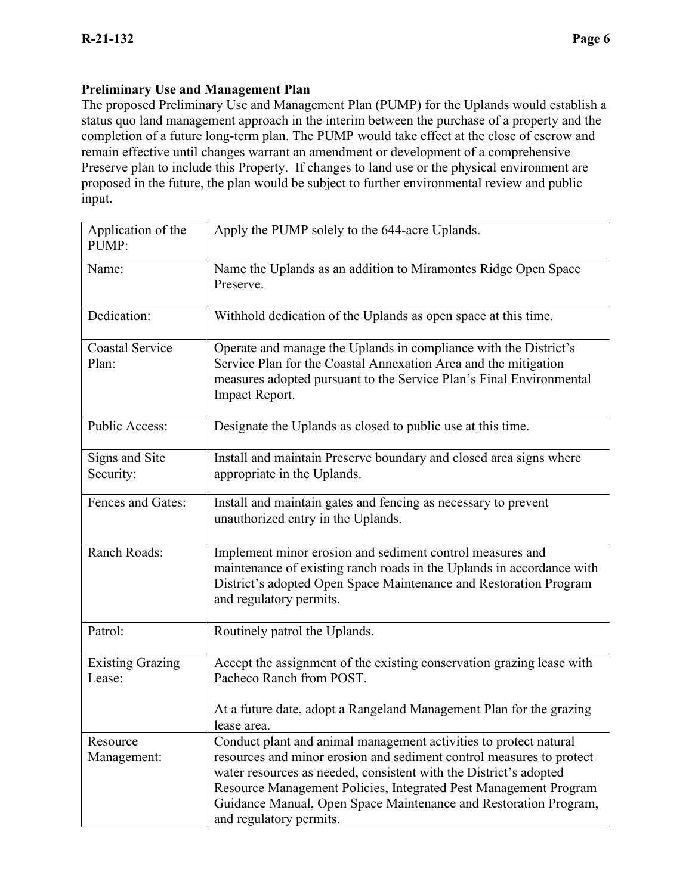#### **Preliminary Use and Management Plan**

The proposed Preliminary Use and Management Plan (PUMP) for the Uplands would establish a status quo land management approach in the interim between the purchase of a property and the completion of a future long-term plan. The PUMP would take effect at the close of escrow and remain effective until changes warrant an amendment or development of a comprehensive Preserve plan to include this Property. If changes to land use or the physical environment are proposed in the future, the plan would be subject to further environmental review and public input.

| Application of the<br>PUMP:       | Apply the PUMP solely to the 644-acre Uplands.                                                                                                                                                                                                                                                                                                                                    |  |
|-----------------------------------|-----------------------------------------------------------------------------------------------------------------------------------------------------------------------------------------------------------------------------------------------------------------------------------------------------------------------------------------------------------------------------------|--|
| Name:                             | Name the Uplands as an addition to Miramontes Ridge Open Space<br>Preserve.                                                                                                                                                                                                                                                                                                       |  |
| Dedication:                       | Withhold dedication of the Uplands as open space at this time.                                                                                                                                                                                                                                                                                                                    |  |
| <b>Coastal Service</b><br>Plan:   | Operate and manage the Uplands in compliance with the District's<br>Service Plan for the Coastal Annexation Area and the mitigation<br>measures adopted pursuant to the Service Plan's Final Environmental<br>Impact Report.                                                                                                                                                      |  |
| <b>Public Access:</b>             | Designate the Uplands as closed to public use at this time.                                                                                                                                                                                                                                                                                                                       |  |
| Signs and Site<br>Security:       | Install and maintain Preserve boundary and closed area signs where<br>appropriate in the Uplands.                                                                                                                                                                                                                                                                                 |  |
| Fences and Gates:                 | Install and maintain gates and fencing as necessary to prevent<br>unauthorized entry in the Uplands.                                                                                                                                                                                                                                                                              |  |
| Ranch Roads:                      | Implement minor erosion and sediment control measures and<br>maintenance of existing ranch roads in the Uplands in accordance with<br>District's adopted Open Space Maintenance and Restoration Program<br>and regulatory permits.                                                                                                                                                |  |
| Patrol:                           | Routinely patrol the Uplands.                                                                                                                                                                                                                                                                                                                                                     |  |
| <b>Existing Grazing</b><br>Lease: | Accept the assignment of the existing conservation grazing lease with<br>Pacheco Ranch from POST.<br>At a future date, adopt a Rangeland Management Plan for the grazing<br>lease area.                                                                                                                                                                                           |  |
| Resource<br>Management:           | Conduct plant and animal management activities to protect natural<br>resources and minor erosion and sediment control measures to protect<br>water resources as needed, consistent with the District's adopted<br>Resource Management Policies, Integrated Pest Management Program<br>Guidance Manual, Open Space Maintenance and Restoration Program,<br>and regulatory permits. |  |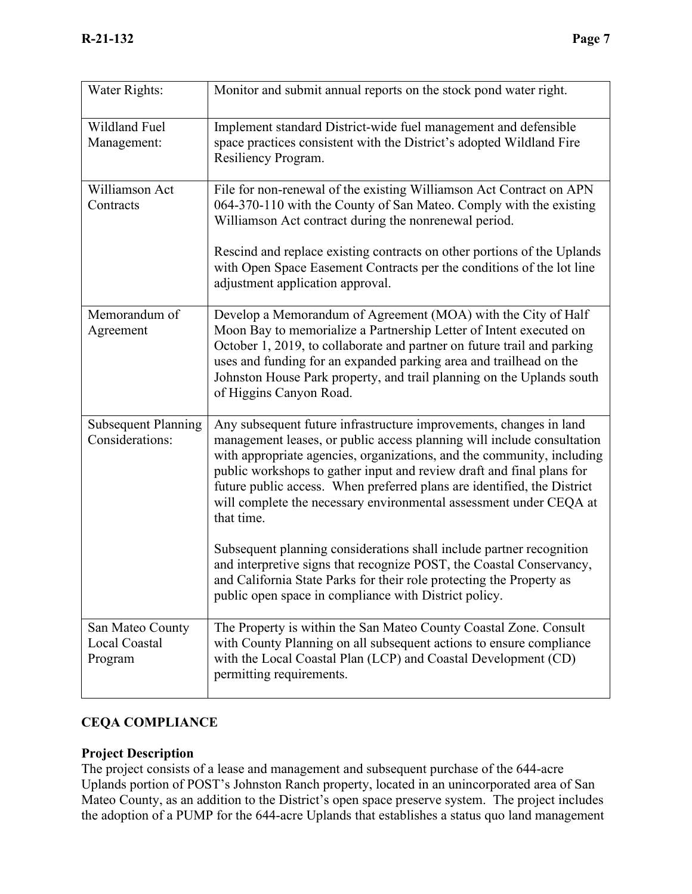| Water Rights:                                       | Monitor and submit annual reports on the stock pond water right.                                                                                                                                                                                                                                                                                                                                                                                               |
|-----------------------------------------------------|----------------------------------------------------------------------------------------------------------------------------------------------------------------------------------------------------------------------------------------------------------------------------------------------------------------------------------------------------------------------------------------------------------------------------------------------------------------|
| Wildland Fuel<br>Management:                        | Implement standard District-wide fuel management and defensible<br>space practices consistent with the District's adopted Wildland Fire<br>Resiliency Program.                                                                                                                                                                                                                                                                                                 |
| Williamson Act<br>Contracts                         | File for non-renewal of the existing Williamson Act Contract on APN<br>064-370-110 with the County of San Mateo. Comply with the existing<br>Williamson Act contract during the nonrenewal period.                                                                                                                                                                                                                                                             |
|                                                     | Rescind and replace existing contracts on other portions of the Uplands<br>with Open Space Easement Contracts per the conditions of the lot line<br>adjustment application approval.                                                                                                                                                                                                                                                                           |
| Memorandum of<br>Agreement                          | Develop a Memorandum of Agreement (MOA) with the City of Half<br>Moon Bay to memorialize a Partnership Letter of Intent executed on<br>October 1, 2019, to collaborate and partner on future trail and parking<br>uses and funding for an expanded parking area and trailhead on the<br>Johnston House Park property, and trail planning on the Uplands south<br>of Higgins Canyon Road.                                                                       |
| <b>Subsequent Planning</b><br>Considerations:       | Any subsequent future infrastructure improvements, changes in land<br>management leases, or public access planning will include consultation<br>with appropriate agencies, organizations, and the community, including<br>public workshops to gather input and review draft and final plans for<br>future public access. When preferred plans are identified, the District<br>will complete the necessary environmental assessment under CEQA at<br>that time. |
|                                                     | Subsequent planning considerations shall include partner recognition<br>and interpretive signs that recognize POST, the Coastal Conservancy,<br>and California State Parks for their role protecting the Property as<br>public open space in compliance with District policy.                                                                                                                                                                                  |
| San Mateo County<br><b>Local Coastal</b><br>Program | The Property is within the San Mateo County Coastal Zone. Consult<br>with County Planning on all subsequent actions to ensure compliance<br>with the Local Coastal Plan (LCP) and Coastal Development (CD)<br>permitting requirements.                                                                                                                                                                                                                         |

### **CEQA COMPLIANCE**

### **Project Description**

The project consists of a lease and management and subsequent purchase of the 644-acre Uplands portion of POST's Johnston Ranch property, located in an unincorporated area of San Mateo County, as an addition to the District's open space preserve system. The project includes the adoption of a PUMP for the 644-acre Uplands that establishes a status quo land management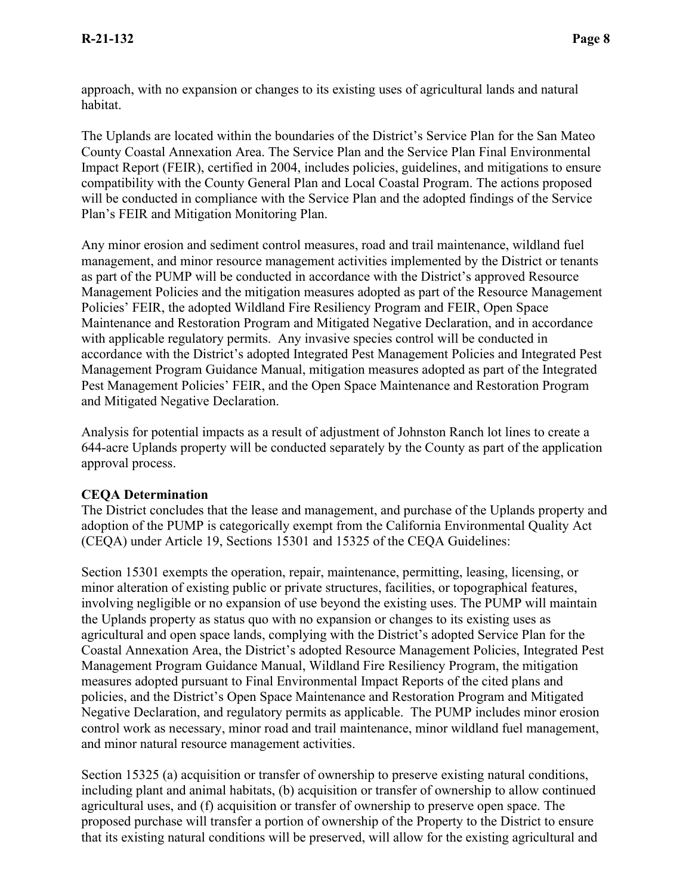approach, with no expansion or changes to its existing uses of agricultural lands and natural habitat.

The Uplands are located within the boundaries of the District's Service Plan for the San Mateo County Coastal Annexation Area. The Service Plan and the Service Plan Final Environmental Impact Report (FEIR), certified in 2004, includes policies, guidelines, and mitigations to ensure compatibility with the County General Plan and Local Coastal Program. The actions proposed will be conducted in compliance with the Service Plan and the adopted findings of the Service Plan's FEIR and Mitigation Monitoring Plan.

Any minor erosion and sediment control measures, road and trail maintenance, wildland fuel management, and minor resource management activities implemented by the District or tenants as part of the PUMP will be conducted in accordance with the District's approved Resource Management Policies and the mitigation measures adopted as part of the Resource Management Policies' FEIR, the adopted Wildland Fire Resiliency Program and FEIR, Open Space Maintenance and Restoration Program and Mitigated Negative Declaration, and in accordance with applicable regulatory permits. Any invasive species control will be conducted in accordance with the District's adopted Integrated Pest Management Policies and Integrated Pest Management Program Guidance Manual, mitigation measures adopted as part of the Integrated Pest Management Policies' FEIR, and the Open Space Maintenance and Restoration Program and Mitigated Negative Declaration.

Analysis for potential impacts as a result of adjustment of Johnston Ranch lot lines to create a 644-acre Uplands property will be conducted separately by the County as part of the application approval process.

#### **CEQA Determination**

The District concludes that the lease and management, and purchase of the Uplands property and adoption of the PUMP is categorically exempt from the California Environmental Quality Act (CEQA) under Article 19, Sections 15301 and 15325 of the CEQA Guidelines:

Section 15301 exempts the operation, repair, maintenance, permitting, leasing, licensing, or minor alteration of existing public or private structures, facilities, or topographical features, involving negligible or no expansion of use beyond the existing uses. The PUMP will maintain the Uplands property as status quo with no expansion or changes to its existing uses as agricultural and open space lands, complying with the District's adopted Service Plan for the Coastal Annexation Area, the District's adopted Resource Management Policies, Integrated Pest Management Program Guidance Manual, Wildland Fire Resiliency Program, the mitigation measures adopted pursuant to Final Environmental Impact Reports of the cited plans and policies, and the District's Open Space Maintenance and Restoration Program and Mitigated Negative Declaration, and regulatory permits as applicable. The PUMP includes minor erosion control work as necessary, minor road and trail maintenance, minor wildland fuel management, and minor natural resource management activities.

Section 15325 (a) acquisition or transfer of ownership to preserve existing natural conditions, including plant and animal habitats, (b) acquisition or transfer of ownership to allow continued agricultural uses, and (f) acquisition or transfer of ownership to preserve open space. The proposed purchase will transfer a portion of ownership of the Property to the District to ensure that its existing natural conditions will be preserved, will allow for the existing agricultural and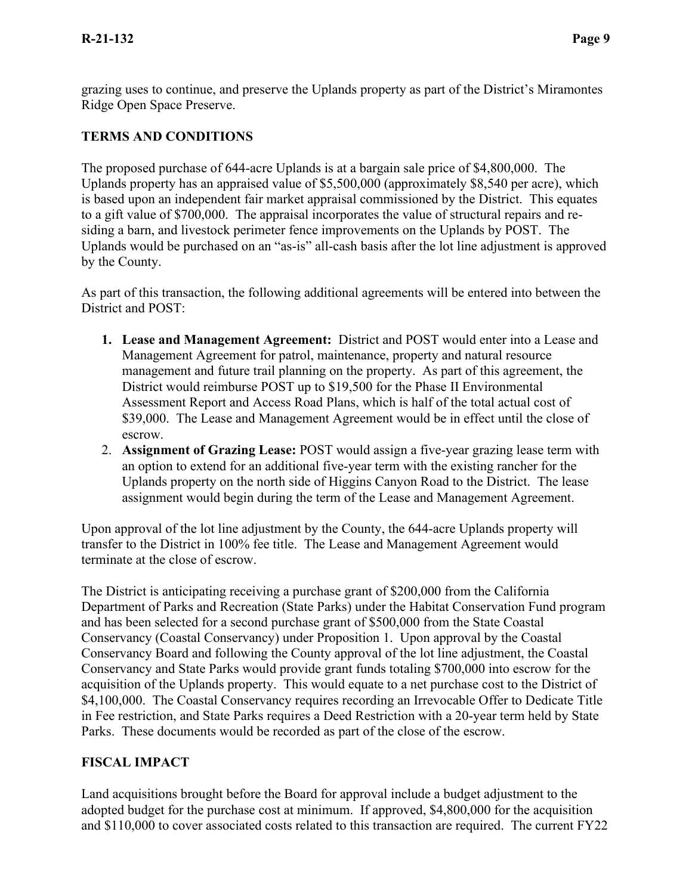grazing uses to continue, and preserve the Uplands property as part of the District's Miramontes Ridge Open Space Preserve.

# **TERMS AND CONDITIONS**

The proposed purchase of 644-acre Uplands is at a bargain sale price of \$4,800,000. The Uplands property has an appraised value of \$5,500,000 (approximately \$8,540 per acre), which is based upon an independent fair market appraisal commissioned by the District. This equates to a gift value of \$700,000. The appraisal incorporates the value of structural repairs and residing a barn, and livestock perimeter fence improvements on the Uplands by POST. The Uplands would be purchased on an "as-is" all-cash basis after the lot line adjustment is approved by the County.

As part of this transaction, the following additional agreements will be entered into between the District and POST:

- **1. Lease and Management Agreement:** District and POST would enter into a Lease and Management Agreement for patrol, maintenance, property and natural resource management and future trail planning on the property. As part of this agreement, the District would reimburse POST up to \$19,500 for the Phase II Environmental Assessment Report and Access Road Plans, which is half of the total actual cost of \$39,000. The Lease and Management Agreement would be in effect until the close of escrow.
- 2. **Assignment of Grazing Lease:** POST would assign a five-year grazing lease term with an option to extend for an additional five-year term with the existing rancher for the Uplands property on the north side of Higgins Canyon Road to the District. The lease assignment would begin during the term of the Lease and Management Agreement.

Upon approval of the lot line adjustment by the County, the 644-acre Uplands property will transfer to the District in 100% fee title. The Lease and Management Agreement would terminate at the close of escrow.

The District is anticipating receiving a purchase grant of \$200,000 from the California Department of Parks and Recreation (State Parks) under the Habitat Conservation Fund program and has been selected for a second purchase grant of \$500,000 from the State Coastal Conservancy (Coastal Conservancy) under Proposition 1. Upon approval by the Coastal Conservancy Board and following the County approval of the lot line adjustment, the Coastal Conservancy and State Parks would provide grant funds totaling \$700,000 into escrow for the acquisition of the Uplands property. This would equate to a net purchase cost to the District of \$4,100,000. The Coastal Conservancy requires recording an Irrevocable Offer to Dedicate Title in Fee restriction, and State Parks requires a Deed Restriction with a 20-year term held by State Parks. These documents would be recorded as part of the close of the escrow.

### **FISCAL IMPACT**

Land acquisitions brought before the Board for approval include a budget adjustment to the adopted budget for the purchase cost at minimum. If approved, \$4,800,000 for the acquisition and \$110,000 to cover associated costs related to this transaction are required. The current FY22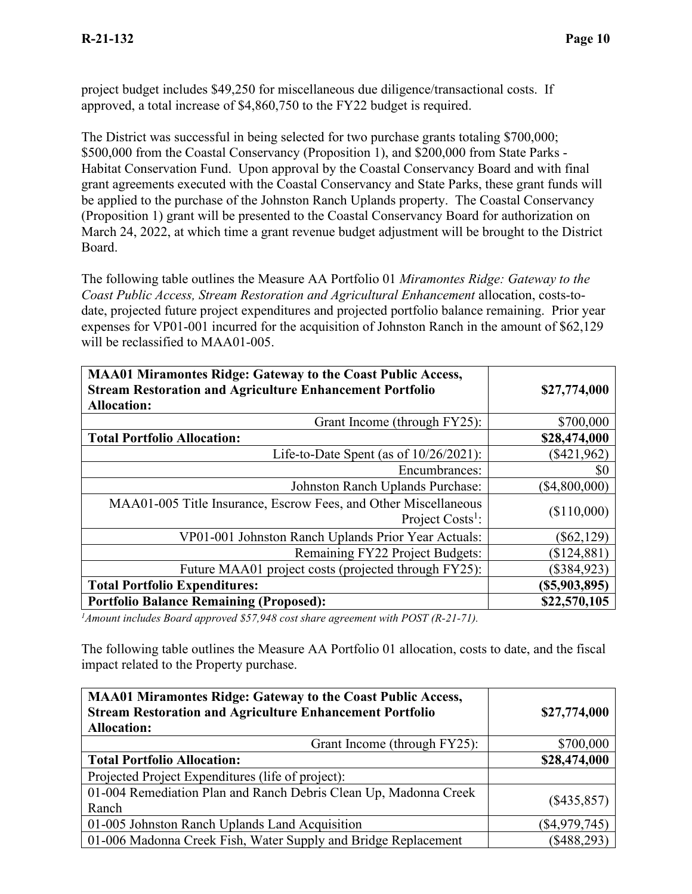project budget includes \$49,250 for miscellaneous due diligence/transactional costs. If approved, a total increase of \$4,860,750 to the FY22 budget is required.

The District was successful in being selected for two purchase grants totaling \$700,000; \$500,000 from the Coastal Conservancy (Proposition 1), and \$200,000 from State Parks - Habitat Conservation Fund. Upon approval by the Coastal Conservancy Board and with final grant agreements executed with the Coastal Conservancy and State Parks, these grant funds will be applied to the purchase of the Johnston Ranch Uplands property. The Coastal Conservancy (Proposition 1) grant will be presented to the Coastal Conservancy Board for authorization on March 24, 2022, at which time a grant revenue budget adjustment will be brought to the District Board.

The following table outlines the Measure AA Portfolio 01 *Miramontes Ridge: Gateway to the Coast Public Access, Stream Restoration and Agricultural Enhancement* allocation, costs-todate, projected future project expenditures and projected portfolio balance remaining. Prior year expenses for VP01-001 incurred for the acquisition of Johnston Ranch in the amount of \$62,129 will be reclassified to MAA01-005.

| <b>MAA01 Miramontes Ridge: Gateway to the Coast Public Access,</b><br><b>Stream Restoration and Agriculture Enhancement Portfolio</b><br><b>Allocation:</b> | \$27,774,000  |
|-------------------------------------------------------------------------------------------------------------------------------------------------------------|---------------|
| Grant Income (through FY25):                                                                                                                                | \$700,000     |
| <b>Total Portfolio Allocation:</b>                                                                                                                          | \$28,474,000  |
| Life-to-Date Spent (as of $10/26/2021$ ):                                                                                                                   | $(\$421,962)$ |
| Encumbrances:                                                                                                                                               | \$0           |
| Johnston Ranch Uplands Purchase:                                                                                                                            | (\$4,800,000) |
| MAA01-005 Title Insurance, Escrow Fees, and Other Miscellaneous<br>Project Costs <sup>1</sup> :                                                             | (\$110,000)   |
| VP01-001 Johnston Ranch Uplands Prior Year Actuals:                                                                                                         | $(\$62,129)$  |
| Remaining FY22 Project Budgets:                                                                                                                             | (\$124,881)   |
| Future MAA01 project costs (projected through FY25):                                                                                                        | $(\$384,923)$ |
| <b>Total Portfolio Expenditures:</b>                                                                                                                        | (S5,903,895)  |
| <b>Portfolio Balance Remaining (Proposed):</b>                                                                                                              | \$22,570,105  |

*1 Amount includes Board approved \$57,948 cost share agreement with POST (R-21-71).*

The following table outlines the Measure AA Portfolio 01 allocation, costs to date, and the fiscal impact related to the Property purchase.

| <b>MAA01 Miramontes Ridge: Gateway to the Coast Public Access,</b><br><b>Stream Restoration and Agriculture Enhancement Portfolio</b><br><b>Allocation:</b> | \$27,774,000    |
|-------------------------------------------------------------------------------------------------------------------------------------------------------------|-----------------|
| Grant Income (through FY25):                                                                                                                                | \$700,000       |
| <b>Total Portfolio Allocation:</b>                                                                                                                          | \$28,474,000    |
| Projected Project Expenditures (life of project):                                                                                                           |                 |
| 01-004 Remediation Plan and Ranch Debris Clean Up, Madonna Creek<br>Ranch                                                                                   | $(\$435,857)$   |
| 01-005 Johnston Ranch Uplands Land Acquisition                                                                                                              | $(\$4,979,745)$ |
| 01-006 Madonna Creek Fish, Water Supply and Bridge Replacement                                                                                              | $(\$488,293)$   |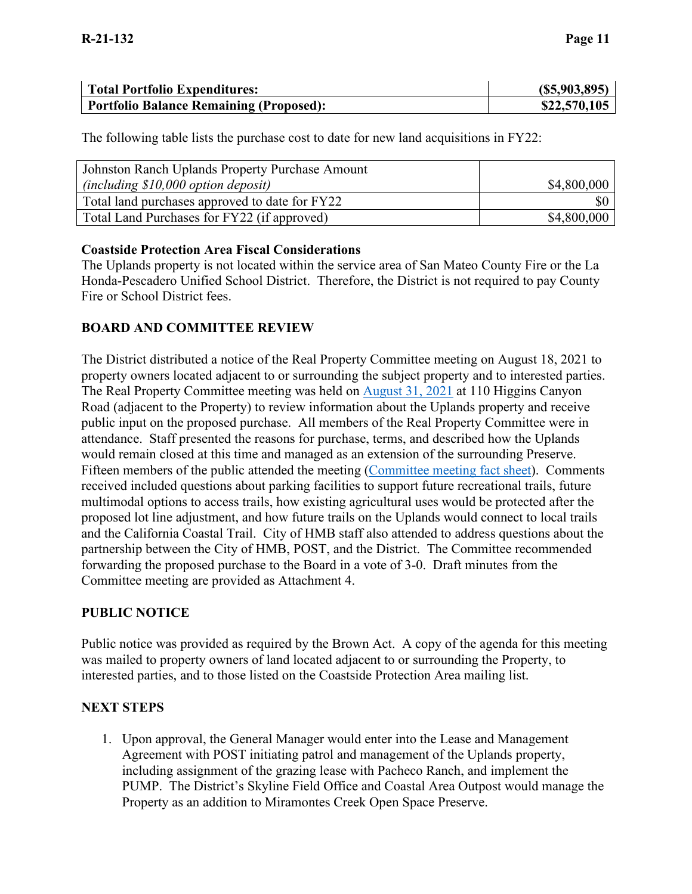| <b>Total Portfolio Expenditures:</b>           | (S5,903,895) |
|------------------------------------------------|--------------|
| <b>Portfolio Balance Remaining (Proposed):</b> | \$22,570,105 |

The following table lists the purchase cost to date for new land acquisitions in FY22:

| Johnston Ranch Uplands Property Purchase Amount |             |
|-------------------------------------------------|-------------|
| (including \$10,000 option deposit)             | \$4,800,000 |
| Total land purchases approved to date for FY22  |             |
| Total Land Purchases for FY22 (if approved)     | \$4,800,000 |

#### **Coastside Protection Area Fiscal Considerations**

The Uplands property is not located within the service area of San Mateo County Fire or the La Honda-Pescadero Unified School District. Therefore, the District is not required to pay County Fire or School District fees.

### **BOARD AND COMMITTEE REVIEW**

The District distributed a notice of the Real Property Committee meeting on August 18, 2021 to property owners located adjacent to or surrounding the subject property and to interested parties. The Real Property Committee meeting was held on [August 31, 2021](https://www.openspace.org/about-us/meetings/rpc-20210831) at 110 Higgins Canyon Road (adjacent to the Property) to review information about the Uplands property and receive public input on the proposed purchase. All members of the Real Property Committee were in attendance. Staff presented the reasons for purchase, terms, and described how the Uplands would remain closed at this time and managed as an extension of the surrounding Preserve. Fifteen members of the public attended the meeting [\(Committee meeting fact sheet\)](https://www.openspace.org/sites/default/files/Fact%20Sheet%20Johnston%20Ranch%20Uplands%20Property.pdf). Comments received included questions about parking facilities to support future recreational trails, future multimodal options to access trails, how existing agricultural uses would be protected after the proposed lot line adjustment, and how future trails on the Uplands would connect to local trails and the California Coastal Trail. City of HMB staff also attended to address questions about the partnership between the City of HMB, POST, and the District. The Committee recommended forwarding the proposed purchase to the Board in a vote of 3-0. Draft minutes from the Committee meeting are provided as Attachment 4.

#### **PUBLIC NOTICE**

Public notice was provided as required by the Brown Act. A copy of the agenda for this meeting was mailed to property owners of land located adjacent to or surrounding the Property, to interested parties, and to those listed on the Coastside Protection Area mailing list.

#### **NEXT STEPS**

1. Upon approval, the General Manager would enter into the Lease and Management Agreement with POST initiating patrol and management of the Uplands property, including assignment of the grazing lease with Pacheco Ranch, and implement the PUMP. The District's Skyline Field Office and Coastal Area Outpost would manage the Property as an addition to Miramontes Creek Open Space Preserve.